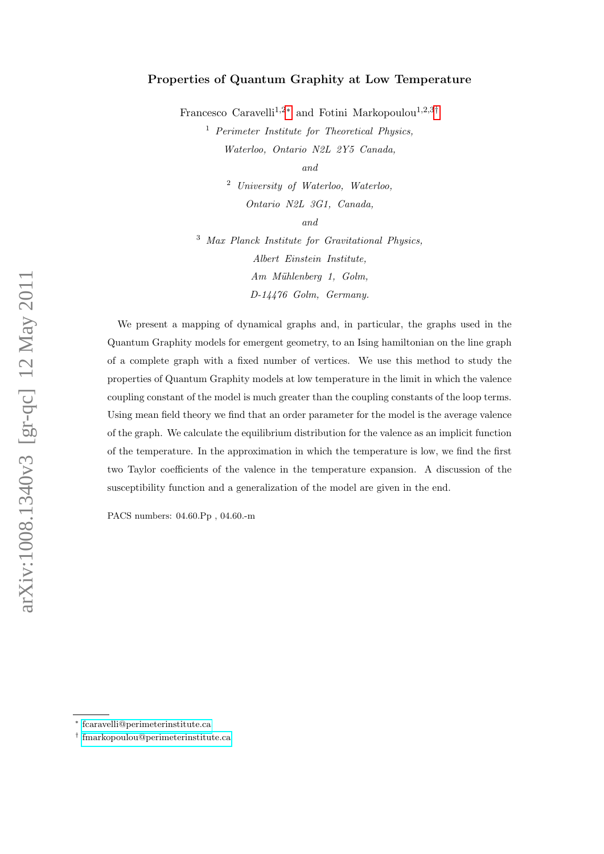# Properties of Quantum Graphity at Low Temperature

Francesco Caravelli<sup>1,2[∗](#page-0-0)</sup> and Fotini Markopoulou<sup>1,2,3[†](#page-0-1)</sup>

<sup>1</sup> Perimeter Institute for Theoretical Physics, Waterloo, Ontario N2L 2Y5 Canada,

and

<sup>2</sup> University of Waterloo, Waterloo, Ontario N2L 3G1, Canada,

and

<sup>3</sup> Max Planck Institute for Gravitational Physics, Albert Einstein Institute,  $Am$  Mühlenberg 1, Golm, D-14476 Golm, Germany.

We present a mapping of dynamical graphs and, in particular, the graphs used in the Quantum Graphity models for emergent geometry, to an Ising hamiltonian on the line graph of a complete graph with a fixed number of vertices. We use this method to study the properties of Quantum Graphity models at low temperature in the limit in which the valence coupling constant of the model is much greater than the coupling constants of the loop terms. Using mean field theory we find that an order parameter for the model is the average valence of the graph. We calculate the equilibrium distribution for the valence as an implicit function of the temperature. In the approximation in which the temperature is low, we find the first two Taylor coefficients of the valence in the temperature expansion. A discussion of the susceptibility function and a generalization of the model are given in the end.

PACS numbers: 04.60.Pp , 04.60.-m

<span id="page-0-1"></span><span id="page-0-0"></span><sup>∗</sup> [fcaravelli@perimeterinstitute.ca](mailto:fcaravelli@perimeterinstitute.ca)

<sup>†</sup> [fmarkopoulou@perimeterinstitute.ca](mailto:fmarkopoulou@perimeterinstitute.ca)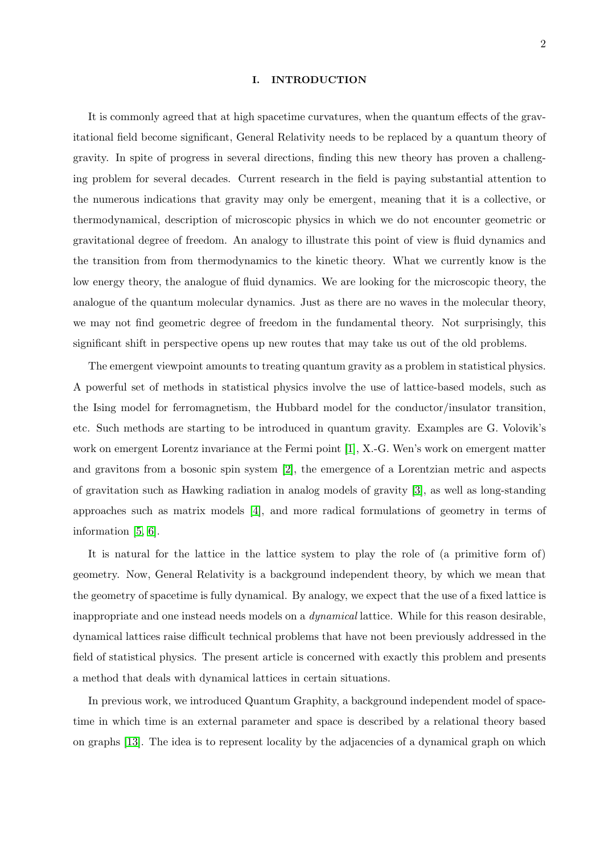### I. INTRODUCTION

It is commonly agreed that at high spacetime curvatures, when the quantum effects of the gravitational field become significant, General Relativity needs to be replaced by a quantum theory of gravity. In spite of progress in several directions, finding this new theory has proven a challenging problem for several decades. Current research in the field is paying substantial attention to the numerous indications that gravity may only be emergent, meaning that it is a collective, or thermodynamical, description of microscopic physics in which we do not encounter geometric or gravitational degree of freedom. An analogy to illustrate this point of view is fluid dynamics and the transition from from thermodynamics to the kinetic theory. What we currently know is the low energy theory, the analogue of fluid dynamics. We are looking for the microscopic theory, the analogue of the quantum molecular dynamics. Just as there are no waves in the molecular theory, we may not find geometric degree of freedom in the fundamental theory. Not surprisingly, this significant shift in perspective opens up new routes that may take us out of the old problems.

The emergent viewpoint amounts to treating quantum gravity as a problem in statistical physics. A powerful set of methods in statistical physics involve the use of lattice-based models, such as the Ising model for ferromagnetism, the Hubbard model for the conductor/insulator transition, etc. Such methods are starting to be introduced in quantum gravity. Examples are G. Volovik's work on emergent Lorentz invariance at the Fermi point [\[1\]](#page-19-0), X.-G. Wen's work on emergent matter and gravitons from a bosonic spin system [\[2\]](#page-19-1), the emergence of a Lorentzian metric and aspects of gravitation such as Hawking radiation in analog models of gravity [\[3\]](#page-19-2), as well as long-standing approaches such as matrix models [\[4\]](#page-19-3), and more radical formulations of geometry in terms of information [\[5,](#page-19-4) [6\]](#page-19-5).

It is natural for the lattice in the lattice system to play the role of (a primitive form of) geometry. Now, General Relativity is a background independent theory, by which we mean that the geometry of spacetime is fully dynamical. By analogy, we expect that the use of a fixed lattice is inappropriate and one instead needs models on a dynamical lattice. While for this reason desirable, dynamical lattices raise difficult technical problems that have not been previously addressed in the field of statistical physics. The present article is concerned with exactly this problem and presents a method that deals with dynamical lattices in certain situations.

In previous work, we introduced Quantum Graphity, a background independent model of spacetime in which time is an external parameter and space is described by a relational theory based on graphs [\[13\]](#page-19-6). The idea is to represent locality by the adjacencies of a dynamical graph on which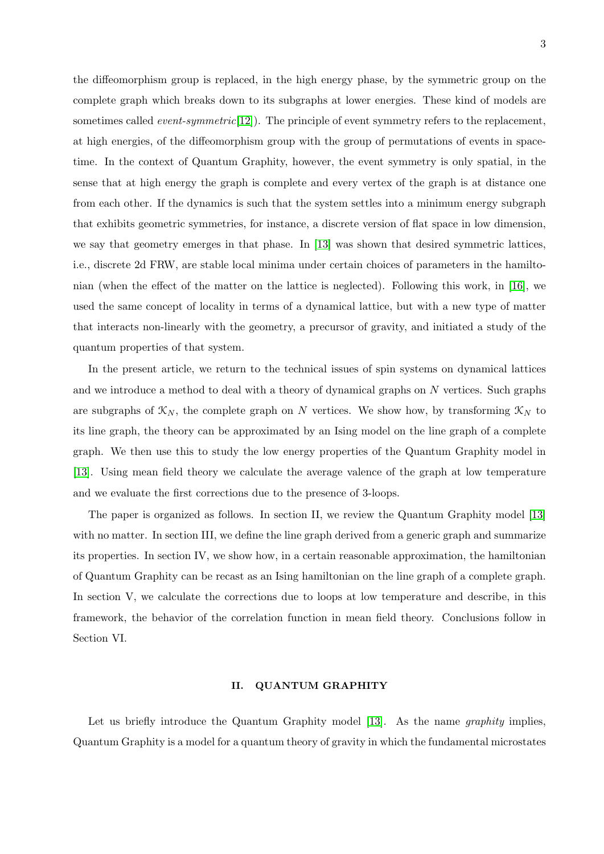the diffeomorphism group is replaced, in the high energy phase, by the symmetric group on the complete graph which breaks down to its subgraphs at lower energies. These kind of models are sometimes called *event-symmetric* $[12]$ . The principle of event symmetry refers to the replacement, at high energies, of the diffeomorphism group with the group of permutations of events in spacetime. In the context of Quantum Graphity, however, the event symmetry is only spatial, in the sense that at high energy the graph is complete and every vertex of the graph is at distance one from each other. If the dynamics is such that the system settles into a minimum energy subgraph that exhibits geometric symmetries, for instance, a discrete version of flat space in low dimension, we say that geometry emerges in that phase. In [\[13\]](#page-19-6) was shown that desired symmetric lattices, i.e., discrete 2d FRW, are stable local minima under certain choices of parameters in the hamiltonian (when the effect of the matter on the lattice is neglected). Following this work, in [\[16\]](#page-20-0), we used the same concept of locality in terms of a dynamical lattice, but with a new type of matter that interacts non-linearly with the geometry, a precursor of gravity, and initiated a study of the quantum properties of that system.

In the present article, we return to the technical issues of spin systems on dynamical lattices and we introduce a method to deal with a theory of dynamical graphs on N vertices. Such graphs are subgraphs of  $\mathfrak{X}_N$ , the complete graph on N vertices. We show how, by transforming  $\mathfrak{X}_N$  to its line graph, the theory can be approximated by an Ising model on the line graph of a complete graph. We then use this to study the low energy properties of the Quantum Graphity model in [\[13\]](#page-19-6). Using mean field theory we calculate the average valence of the graph at low temperature and we evaluate the first corrections due to the presence of 3-loops.

The paper is organized as follows. In section II, we review the Quantum Graphity model [\[13\]](#page-19-6) with no matter. In section III, we define the line graph derived from a generic graph and summarize its properties. In section IV, we show how, in a certain reasonable approximation, the hamiltonian of Quantum Graphity can be recast as an Ising hamiltonian on the line graph of a complete graph. In section V, we calculate the corrections due to loops at low temperature and describe, in this framework, the behavior of the correlation function in mean field theory. Conclusions follow in Section VI.

### II. QUANTUM GRAPHITY

Let us briefly introduce the Quantum Graphity model [\[13\]](#page-19-6). As the name *graphity* implies, Quantum Graphity is a model for a quantum theory of gravity in which the fundamental microstates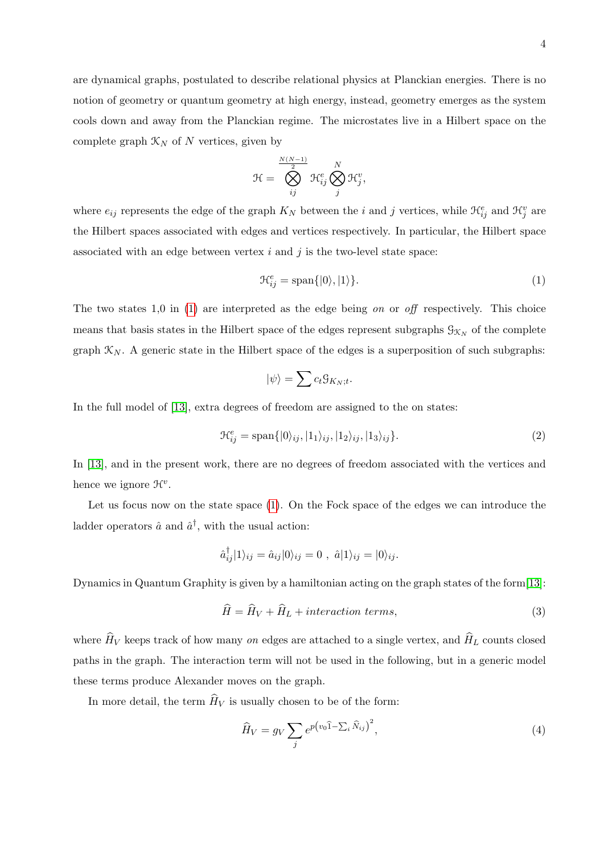are dynamical graphs, postulated to describe relational physics at Planckian energies. There is no notion of geometry or quantum geometry at high energy, instead, geometry emerges as the system cools down and away from the Planckian regime. The microstates live in a Hilbert space on the complete graph  $\mathcal{K}_N$  of N vertices, given by

$$
\mathcal{H} = \bigotimes_{ij}^{\frac{N(N-1)}{2}} \mathcal{H}_{ij}^e \bigotimes_{j}^N \mathcal{H}_{j}^v,
$$

where  $e_{ij}$  represents the edge of the graph  $K_N$  between the *i* and *j* vertices, while  $\mathcal{H}_{ij}^e$  and  $\mathcal{H}_{j}^v$  are the Hilbert spaces associated with edges and vertices respectively. In particular, the Hilbert space associated with an edge between vertex  $i$  and  $j$  is the two-level state space:

<span id="page-3-0"></span>
$$
\mathcal{H}_{ij}^e = \text{span}\{|0\rangle, |1\rangle\}.
$$
 (1)

The two states 1,0 in [\(1\)](#page-3-0) are interpreted as the edge being on or off respectively. This choice means that basis states in the Hilbert space of the edges represent subgraphs  $\mathcal{G}_{\mathcal{K}_N}$  of the complete graph  $\mathcal{K}_N$ . A generic state in the Hilbert space of the edges is a superposition of such subgraphs:

$$
|\psi\rangle = \sum c_t \mathcal{G}_{K_N;t}
$$

In the full model of [\[13\]](#page-19-6), extra degrees of freedom are assigned to the on states:

<span id="page-3-2"></span>
$$
\mathcal{H}_{ij}^e = \text{span}\{|0\rangle_{ij}, |1_1\rangle_{ij}, |1_2\rangle_{ij}, |1_3\rangle_{ij}\}.
$$
\n(2)

.

In [\[13\]](#page-19-6), and in the present work, there are no degrees of freedom associated with the vertices and hence we ignore  $\mathcal{H}^v$ .

Let us focus now on the state space [\(1\)](#page-3-0). On the Fock space of the edges we can introduce the ladder operators  $\hat{a}$  and  $\hat{a}^{\dagger}$ , with the usual action:

$$
\hat{a}_{ij}^{\dagger}|1\rangle_{ij} = \hat{a}_{ij}|0\rangle_{ij} = 0 \; , \; \hat{a}|1\rangle_{ij} = |0\rangle_{ij}.
$$

Dynamics in Quantum Graphity is given by a hamiltonian acting on the graph states of the form[\[13\]](#page-19-6):

<span id="page-3-1"></span>
$$
\widehat{H} = \widehat{H}_V + \widehat{H}_L + interaction \ terms,
$$
\n(3)

where  $\widehat{H}_V$  keeps track of how many on edges are attached to a single vertex, and  $\widehat{H}_L$  counts closed paths in the graph. The interaction term will not be used in the following, but in a generic model these terms produce Alexander moves on the graph.

In more detail, the term  $\widehat{H}_V$  is usually chosen to be of the form:

$$
\widehat{H}_V = g_V \sum_j e^{p(v_0 \widehat{1} - \sum_i \widehat{N}_{ij})^2},\tag{4}
$$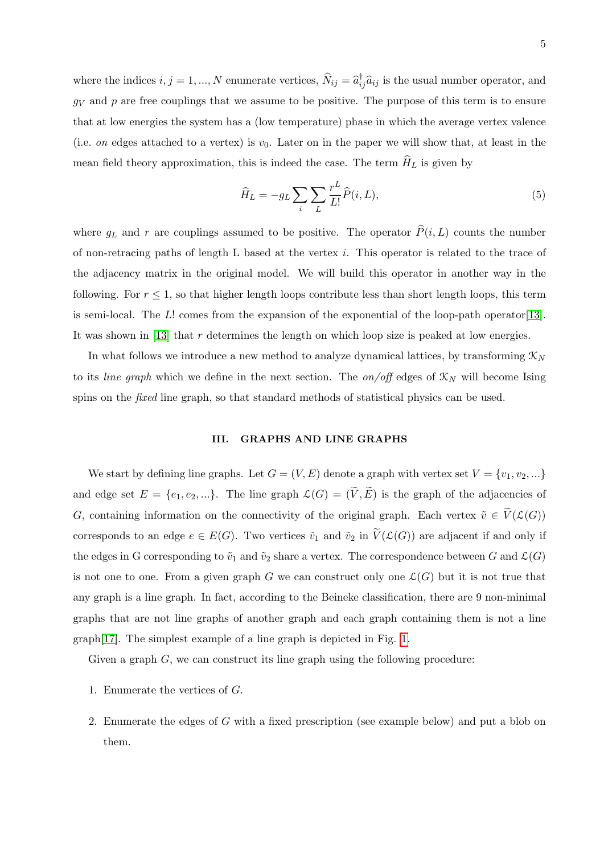where the indices  $i, j = 1, ..., N$  enumerate vertices,  $\widehat{N}_{ij} = \widehat{a}_{ij}^{\dagger} \widehat{a}_{ij}$  is the usual number operator, and  $g_V$  and p are free couplings that we assume to be positive. The purpose of this term is to ensure that at low energies the system has a (low temperature) phase in which the average vertex valence (i.e. on edges attached to a vertex) is  $v_0$ . Later on in the paper we will show that, at least in the mean field theory approximation, this is indeed the case. The term  $\hat{H}_L$  is given by

$$
\widehat{H}_L = -g_L \sum_i \sum_L \frac{r^L}{L!} \widehat{P}(i, L),\tag{5}
$$

where  $g_L$  and r are couplings assumed to be positive. The operator  $\hat{P}(i, L)$  counts the number of non-retracing paths of length L based at the vertex  $i$ . This operator is related to the trace of the adjacency matrix in the original model. We will build this operator in another way in the following. For  $r \leq 1$ , so that higher length loops contribute less than short length loops, this term is semi-local. The L! comes from the expansion of the exponential of the loop-path operator[\[13\]](#page-19-6). It was shown in [\[13\]](#page-19-6) that  $r$  determines the length on which loop size is peaked at low energies.

In what follows we introduce a new method to analyze dynamical lattices, by transforming  $\mathcal{K}_N$ to its line graph which we define in the next section. The on/off edges of  $\mathcal{K}_N$  will become Ising spins on the *fixed* line graph, so that standard methods of statistical physics can be used.

### III. GRAPHS AND LINE GRAPHS

We start by defining line graphs. Let  $G = (V, E)$  denote a graph with vertex set  $V = \{v_1, v_2, ...\}$ and edge set  $E = \{e_1, e_2, ...\}$ . The line graph  $\mathcal{L}(G) = (\tilde{V}, \tilde{E})$  is the graph of the adjacencies of G, containing information on the connectivity of the original graph. Each vertex  $\tilde{v} \in \tilde{V}(\mathcal{L}(G))$ corresponds to an edge  $e \in E(G)$ . Two vertices  $\tilde{v}_1$  and  $\tilde{v}_2$  in  $V(\mathcal{L}(G))$  are adjacent if and only if the edges in G corresponding to  $\tilde{v}_1$  and  $\tilde{v}_2$  share a vertex. The correspondence between G and  $\mathcal{L}(G)$ is not one to one. From a given graph G we can construct only one  $\mathcal{L}(G)$  but it is not true that any graph is a line graph. In fact, according to the Beineke classification, there are 9 non-minimal graphs that are not line graphs of another graph and each graph containing them is not a line graph[\[17\]](#page-20-1). The simplest example of a line graph is depicted in Fig. [1.](#page-5-0)

Given a graph  $G$ , we can construct its line graph using the following procedure:

- 1. Enumerate the vertices of G.
- 2. Enumerate the edges of G with a fixed prescription (see example below) and put a blob on them.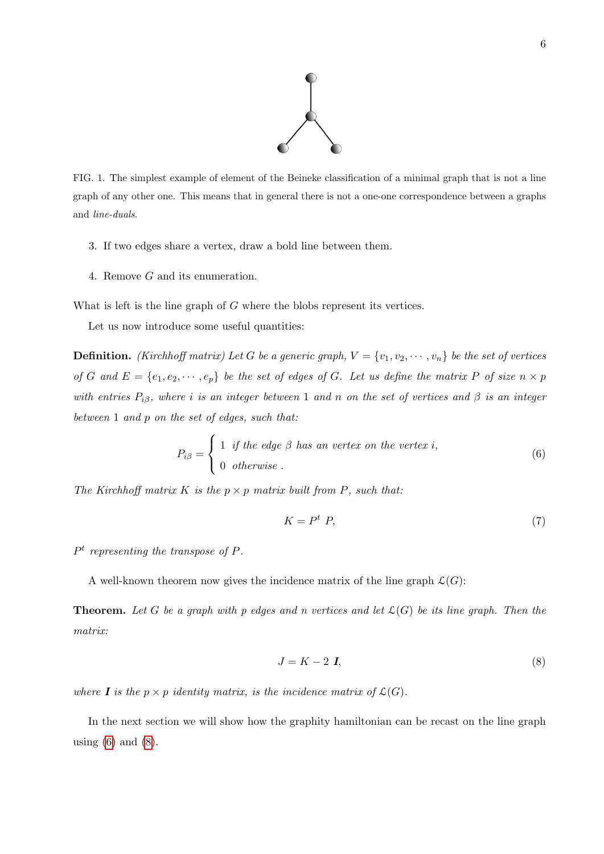

<span id="page-5-0"></span>FIG. 1. The simplest example of element of the Beineke classification of a minimal graph that is not a line graph of any other one. This means that in general there is not a one-one correspondence between a graphs and line-duals.

- 3. If two edges share a vertex, draw a bold line between them.
- 4. Remove G and its enumeration.

What is left is the line graph of G where the blobs represent its vertices.

Let us now introduce some useful quantities:

**Definition.** (Kirchhoff matrix) Let G be a generic graph,  $V = \{v_1, v_2, \dots, v_n\}$  be the set of vertices of G and  $E = \{e_1, e_2, \dots, e_p\}$  be the set of edges of G. Let us define the matrix P of size  $n \times p$ with entries  $P_{i\beta}$ , where i is an integer between 1 and n on the set of vertices and  $\beta$  is an integer between 1 and p on the set of edges, such that:

<span id="page-5-1"></span>
$$
P_{i\beta} = \begin{cases} 1 & \text{if the edge } \beta \text{ has an vertex on the vertex } i, \\ 0 & \text{otherwise.} \end{cases}
$$
 (6)

The Kirchhoff matrix K is the  $p \times p$  matrix built from P, such that:

$$
K = P^t P, \tag{7}
$$

 $P<sup>t</sup>$  representing the transpose of P.

A well-known theorem now gives the incidence matrix of the line graph  $\mathcal{L}(G)$ :

**Theorem.** Let G be a graph with p edges and n vertices and let  $\mathcal{L}(G)$  be its line graph. Then the matrix:

<span id="page-5-2"></span>
$$
J = K - 2 I,\t\t(8)
$$

where **I** is the  $p \times p$  identity matrix, is the incidence matrix of  $\mathcal{L}(G)$ .

In the next section we will show how the graphity hamiltonian can be recast on the line graph using  $(6)$  and  $(8)$ .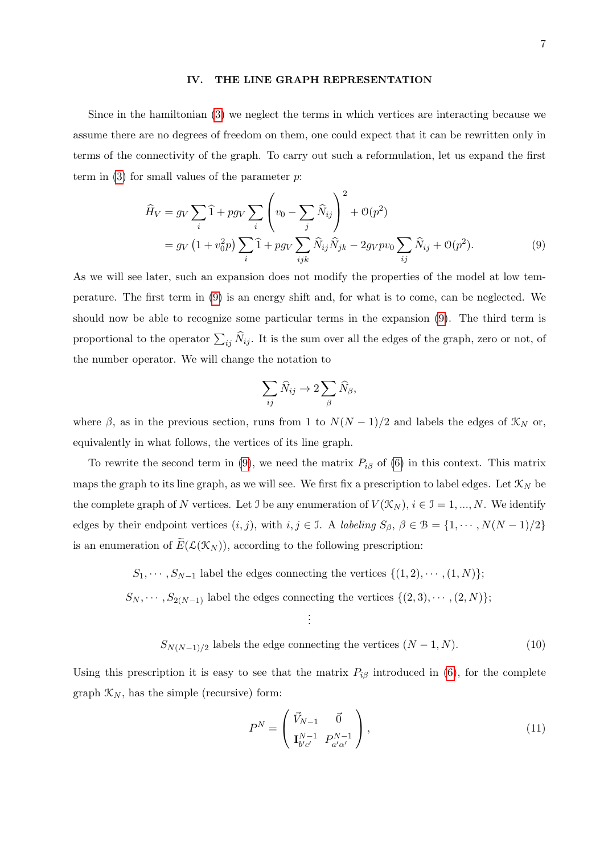### IV. THE LINE GRAPH REPRESENTATION

Since in the hamiltonian [\(3\)](#page-3-1) we neglect the terms in which vertices are interacting because we assume there are no degrees of freedom on them, one could expect that it can be rewritten only in terms of the connectivity of the graph. To carry out such a reformulation, let us expand the first term in  $(3)$  for small values of the parameter p.

<span id="page-6-0"></span>
$$
\widehat{H}_V = g_V \sum_i \widehat{1} + pg_V \sum_i \left( v_0 - \sum_j \widehat{N}_{ij} \right)^2 + \mathcal{O}(p^2)
$$
  
=  $g_V \left( 1 + v_0^2 p \right) \sum_i \widehat{1} + pg_V \sum_{ijk} \widehat{N}_{ij} \widehat{N}_{jk} - 2g_V pv_0 \sum_{ij} \widehat{N}_{ij} + \mathcal{O}(p^2).$  (9)

As we will see later, such an expansion does not modify the properties of the model at low temperature. The first term in [\(9\)](#page-6-0) is an energy shift and, for what is to come, can be neglected. We should now be able to recognize some particular terms in the expansion [\(9\)](#page-6-0). The third term is proportional to the operator  $\sum_{ij} N_{ij}$ . It is the sum over all the edges of the graph, zero or not, of the number operator. We will change the notation to

$$
\sum_{ij} \widehat{N}_{ij} \to 2 \sum_{\beta} \widehat{N}_{\beta},
$$

where  $\beta$ , as in the previous section, runs from 1 to  $N(N-1)/2$  and labels the edges of  $\mathcal{K}_N$  or, equivalently in what follows, the vertices of its line graph.

To rewrite the second term in [\(9\)](#page-6-0), we need the matrix  $P_{i\beta}$  of [\(6\)](#page-5-1) in this context. This matrix maps the graph to its line graph, as we will see. We first fix a prescription to label edges. Let  $\mathcal{K}_N$  be the complete graph of N vertices. Let I be any enumeration of  $V(\mathcal{K}_N)$ ,  $i \in \mathcal{I} = 1, ..., N$ . We identify edges by their endpoint vertices  $(i, j)$ , with  $i, j \in \mathcal{I}$ . A labeling  $S_{\beta}, \beta \in \mathcal{B} = \{1, \cdots, N(N-1)/2\}$ is an enumeration of  $E(\mathcal{L}(\mathcal{K}_N))$ , according to the following prescription:

> <span id="page-6-1"></span> $S_1, \cdots, S_{N-1}$  label the edges connecting the vertices  $\{(1, 2), \cdots, (1, N)\};$  $S_N, \cdots, S_{2(N-1)}$  label the edges connecting the vertices  $\{(2,3), \cdots, (2,N)\};$

> > . . .

$$
S_{N(N-1)/2}
$$
 labels the edge connecting the vertices  $(N-1, N)$ . (10)

Using this prescription it is easy to see that the matrix  $P_{i\beta}$  introduced in [\(6\)](#page-5-1), for the complete graph  $\mathcal{K}_N$ , has the simple (recursive) form:

$$
P^N = \begin{pmatrix} \vec{V}_{N-1} & \vec{0} \\ \mathbf{I}_{b'c'}^{N-1} & P_{a'\alpha'}^{N-1} \end{pmatrix},\tag{11}
$$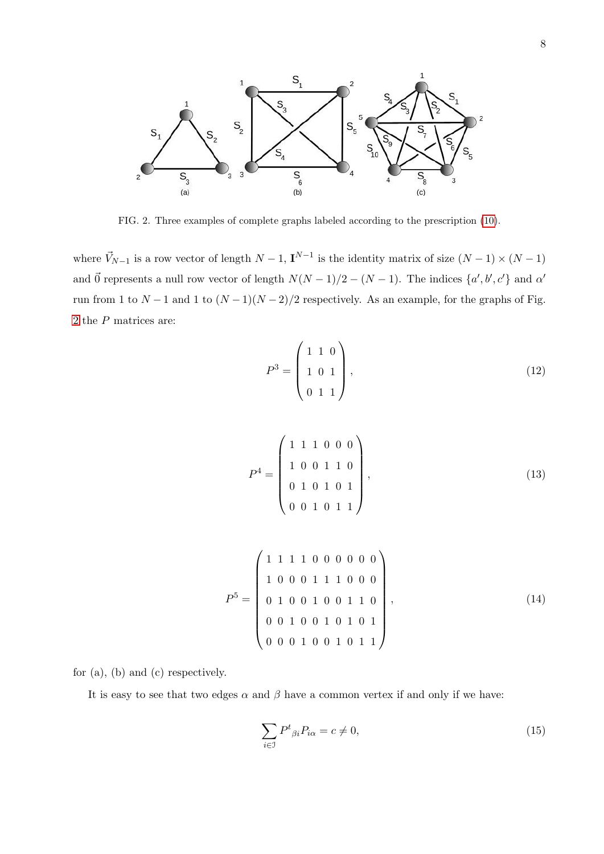

<span id="page-7-0"></span>FIG. 2. Three examples of complete graphs labeled according to the prescription [\(10\)](#page-6-1).

where  $\vec{V}_{N-1}$  is a row vector of length  $N-1$ ,  $\mathbf{I}^{N-1}$  is the identity matrix of size  $(N-1) \times (N-1)$ and  $\vec{0}$  represents a null row vector of length  $N(N-1)/2 - (N-1)$ . The indices  $\{a', b', c'\}$  and  $\alpha'$ run from 1 to  $N-1$  and 1 to  $(N-1)(N-2)/2$  respectively. As an example, for the graphs of Fig. [2](#page-7-0) the P matrices are:

$$
P^3 = \begin{pmatrix} 1 & 1 & 0 \\ 1 & 0 & 1 \\ 0 & 1 & 1 \end{pmatrix},\tag{12}
$$

$$
P^{4} = \begin{pmatrix} 1 & 1 & 1 & 0 & 0 & 0 \\ 1 & 0 & 0 & 1 & 1 & 0 \\ 0 & 1 & 0 & 1 & 0 & 1 \\ 0 & 0 & 1 & 0 & 1 & 1 \end{pmatrix},
$$
(13)

$$
P^{5} = \left(\begin{array}{cccccc} 1 & 1 & 1 & 1 & 0 & 0 & 0 & 0 & 0 & 0 \\ 1 & 0 & 0 & 0 & 1 & 1 & 1 & 0 & 0 & 0 \\ 0 & 1 & 0 & 0 & 1 & 0 & 0 & 1 & 1 & 0 \\ 0 & 0 & 1 & 0 & 0 & 1 & 0 & 1 & 1 \\ 0 & 0 & 0 & 1 & 0 & 0 & 1 & 0 & 1 & 1 \end{array}\right),
$$
\n(14)

for (a), (b) and (c) respectively.

It is easy to see that two edges  $\alpha$  and  $\beta$  have a common vertex if and only if we have:

$$
\sum_{i \in \mathcal{I}} P^t{}_{\beta i} P_{i\alpha} = c \neq 0,\tag{15}
$$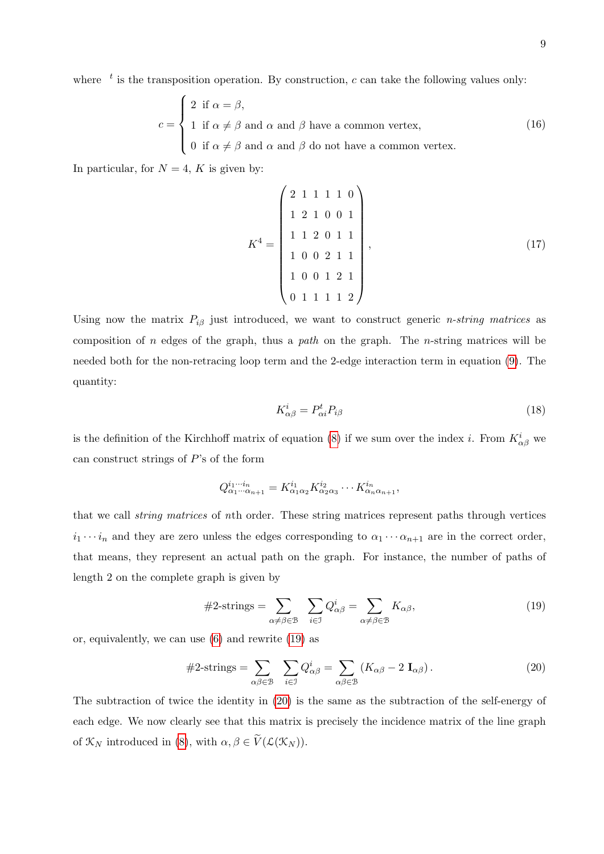where  $\epsilon$  is the transposition operation. By construction, c can take the following values only:

$$
c = \begin{cases} 2 & \text{if } \alpha = \beta, \\ 1 & \text{if } \alpha \neq \beta \text{ and } \alpha \text{ and } \beta \text{ have a common vertex,} \\ 0 & \text{if } \alpha \neq \beta \text{ and } \alpha \text{ and } \beta \text{ do not have a common vertex.} \end{cases}
$$
(16)

In particular, for  $N = 4$ , K is given by:

$$
K^{4} = \begin{pmatrix} 2 & 1 & 1 & 1 & 1 & 0 \\ 1 & 2 & 1 & 0 & 0 & 1 \\ 1 & 1 & 2 & 0 & 1 & 1 \\ 1 & 0 & 0 & 2 & 1 & 1 \\ 1 & 0 & 0 & 1 & 2 & 1 \\ 0 & 1 & 1 & 1 & 1 & 2 \end{pmatrix},
$$
(17)

Using now the matrix  $P_{i\beta}$  just introduced, we want to construct generic *n-string matrices* as composition of n edges of the graph, thus a path on the graph. The n-string matrices will be needed both for the non-retracing loop term and the 2-edge interaction term in equation [\(9\)](#page-6-0). The quantity:

$$
K_{\alpha\beta}^i = P_{\alpha i}^t P_{i\beta} \tag{18}
$$

is the definition of the Kirchhoff matrix of equation [\(8\)](#page-5-2) if we sum over the index *i*. From  $K_{\alpha\beta}^{i}$  we can construct strings of P's of the form

$$
Q^{i_1\cdots i_n}_{\alpha_1\cdots\alpha_{n+1}}=K^{i_1}_{\alpha_1\alpha_2}K^{i_2}_{\alpha_2\alpha_3}\cdots K^{i_n}_{\alpha_n\alpha_{n+1}},
$$

that we call string matrices of nth order. These string matrices represent paths through vertices  $i_1 \cdots i_n$  and they are zero unless the edges corresponding to  $\alpha_1 \cdots \alpha_{n+1}$  are in the correct order, that means, they represent an actual path on the graph. For instance, the number of paths of length 2 on the complete graph is given by

<span id="page-8-0"></span>
$$
#2\text{-strings} = \sum_{\alpha \neq \beta \in \mathcal{B}} \sum_{i \in \mathcal{I}} Q_{\alpha\beta}^i = \sum_{\alpha \neq \beta \in \mathcal{B}} K_{\alpha\beta},\tag{19}
$$

or, equivalently, we can use [\(6\)](#page-5-1) and rewrite [\(19\)](#page-8-0) as

<span id="page-8-1"></span>
$$
#2\text{-strings} = \sum_{\alpha\beta\in\mathcal{B}} \quad \sum_{i\in\mathcal{I}} Q^i_{\alpha\beta} = \sum_{\alpha\beta\in\mathcal{B}} (K_{\alpha\beta} - 2 \mathbf{I}_{\alpha\beta}). \tag{20}
$$

The subtraction of twice the identity in [\(20\)](#page-8-1) is the same as the subtraction of the self-energy of each edge. We now clearly see that this matrix is precisely the incidence matrix of the line graph of  $\mathcal{K}_N$  introduced in [\(8\)](#page-5-2), with  $\alpha, \beta \in \widetilde{V}(\mathcal{L}(\mathcal{K}_N)).$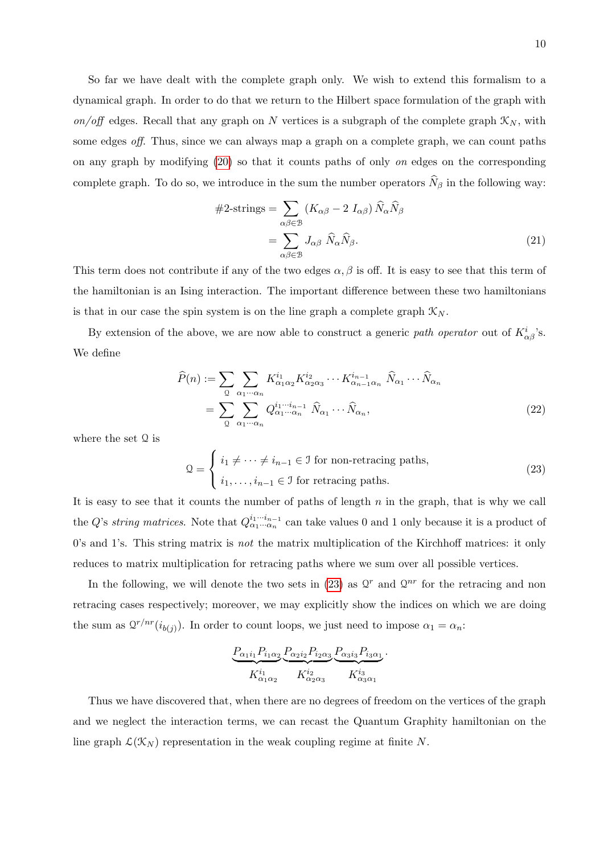So far we have dealt with the complete graph only. We wish to extend this formalism to a dynamical graph. In order to do that we return to the Hilbert space formulation of the graph with on/off edges. Recall that any graph on N vertices is a subgraph of the complete graph  $\mathcal{K}_N$ , with some edges off. Thus, since we can always map a graph on a complete graph, we can count paths on any graph by modifying [\(20\)](#page-8-1) so that it counts paths of only on edges on the corresponding complete graph. To do so, we introduce in the sum the number operators  $N_\beta$  in the following way:

$$
#2\text{-strings} = \sum_{\alpha\beta\in\mathcal{B}} (K_{\alpha\beta} - 2 I_{\alpha\beta}) \hat{N}_{\alpha} \hat{N}_{\beta}
$$

$$
= \sum_{\alpha\beta\in\mathcal{B}} J_{\alpha\beta} \hat{N}_{\alpha} \hat{N}_{\beta}.
$$
(21)

This term does not contribute if any of the two edges  $\alpha, \beta$  is off. It is easy to see that this term of the hamiltonian is an Ising interaction. The important difference between these two hamiltonians is that in our case the spin system is on the line graph a complete graph  $\mathcal{K}_{N}$ .

By extension of the above, we are now able to construct a generic path operator out of  $K^i_{\alpha\beta}$ 's. We define

$$
\widehat{P}(n) := \sum_{\mathcal{Q}} \sum_{\alpha_1 \cdots \alpha_n} K_{\alpha_1 \alpha_2}^{i_1} K_{\alpha_2 \alpha_3}^{i_2} \cdots K_{\alpha_{n-1} \alpha_n}^{i_{n-1}} \widehat{N}_{\alpha_1} \cdots \widehat{N}_{\alpha_n}
$$
\n
$$
= \sum_{\mathcal{Q}} \sum_{\alpha_1 \cdots \alpha_n} Q_{\alpha_1 \cdots \alpha_n}^{i_1 \cdots i_{n-1}} \widehat{N}_{\alpha_1} \cdots \widehat{N}_{\alpha_n},
$$
\n(22)

where the set Q is

<span id="page-9-0"></span>
$$
\mathcal{Q} = \begin{cases} i_1 \neq \dots \neq i_{n-1} \in \mathcal{I} \text{ for non-retracing paths,} \\ i_1, \dots, i_{n-1} \in \mathcal{I} \text{ for retracing paths.} \end{cases}
$$
(23)

It is easy to see that it counts the number of paths of length  $n$  in the graph, that is why we call the Q's string matrices. Note that  $Q_{\alpha_1\cdots\alpha_n}^{i_1\cdots i_{n-1}}$  can take values 0 and 1 only because it is a product of  $0$ 's and 1's. This string matrix is *not* the matrix multiplication of the Kirchhoff matrices: it only reduces to matrix multiplication for retracing paths where we sum over all possible vertices.

In the following, we will denote the two sets in [\(23\)](#page-9-0) as  $\mathcal{Q}^r$  and  $\mathcal{Q}^{nr}$  for the retracing and non retracing cases respectively; moreover, we may explicitly show the indices on which we are doing the sum as  $Q^{r/nr}(i_{b(j)})$ . In order to count loops, we just need to impose  $\alpha_1 = \alpha_n$ .

$$
\frac{P_{\alpha_1 i_1} P_{i_1 \alpha_2}}{K_{\alpha_1 \alpha_2}^{i_1}} \frac{P_{\alpha_2 i_2} P_{i_2 \alpha_3}}{K_{\alpha_2 \alpha_3}^{i_2}} \frac{P_{\alpha_3 i_3} P_{i_3 \alpha_1}}{K_{\alpha_3 \alpha_1}^{i_3}}.
$$

Thus we have discovered that, when there are no degrees of freedom on the vertices of the graph and we neglect the interaction terms, we can recast the Quantum Graphity hamiltonian on the line graph  $\mathcal{L}(\mathcal{K}_N)$  representation in the weak coupling regime at finite N.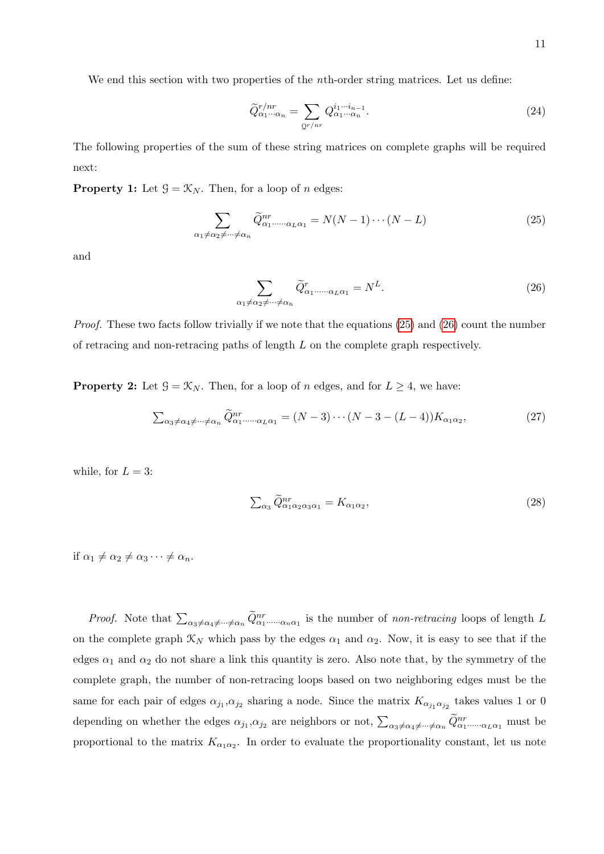We end this section with two properties of the *n*th-order string matrices. Let us define:

$$
\widetilde{Q}_{\alpha_1\cdots\alpha_n}^{r/nr} = \sum_{\mathbf{Q}^{r/nr}} Q_{\alpha_1\cdots\alpha_n}^{i_1\cdots i_{n-1}}.
$$
\n(24)

The following properties of the sum of these string matrices on complete graphs will be required next:

**Property 1:** Let  $\mathcal{G} = \mathcal{K}_N$ . Then, for a loop of *n* edges:

<span id="page-10-0"></span>
$$
\sum_{\alpha_1 \neq \alpha_2 \neq \dots \neq \alpha_n} \widetilde{Q}^{nr}_{\alpha_1 \dots \dots \alpha_L \alpha_1} = N(N-1)\cdots (N-L)
$$
\n(25)

and

<span id="page-10-1"></span>
$$
\sum_{\alpha_1 \neq \alpha_2 \neq \dots \neq \alpha_n} \tilde{Q}^r_{\alpha_1 \dots \dots \alpha_L \alpha_1} = N^L.
$$
\n(26)

Proof. These two facts follow trivially if we note that the equations [\(25\)](#page-10-0) and [\(26\)](#page-10-1) count the number of retracing and non-retracing paths of length  $L$  on the complete graph respectively.

**Property 2:** Let  $\mathcal{G} = \mathcal{K}_N$ . Then, for a loop of n edges, and for  $L \geq 4$ , we have:

<span id="page-10-3"></span>
$$
\sum_{\alpha_3 \neq \alpha_4 \neq \dots \neq \alpha_n} \widetilde{Q}^{nr}_{\alpha_1 \dots \dots \alpha_L \alpha_1} = (N-3) \cdots (N-3-(L-4)) K_{\alpha_1 \alpha_2}, \tag{27}
$$

while, for  $L = 3$ :

<span id="page-10-2"></span>
$$
\sum_{\alpha_3} \widetilde{Q}^{nr}_{\alpha_1 \alpha_2 \alpha_3 \alpha_1} = K_{\alpha_1 \alpha_2},\tag{28}
$$

if  $\alpha_1 \neq \alpha_2 \neq \alpha_3 \cdots \neq \alpha_n$ .

*Proof.* Note that  $\sum_{\alpha_3 \neq \alpha_4 \neq \dots \neq \alpha_n} \tilde{Q}^{nr}_{\alpha_1 \dots \dots \alpha_n \alpha_1}$  is the number of non-retracing loops of length L on the complete graph  $\mathcal{K}_N$  which pass by the edges  $\alpha_1$  and  $\alpha_2$ . Now, it is easy to see that if the edges  $\alpha_1$  and  $\alpha_2$  do not share a link this quantity is zero. Also note that, by the symmetry of the complete graph, the number of non-retracing loops based on two neighboring edges must be the same for each pair of edges  $\alpha_{j_1}, \alpha_{j_2}$  sharing a node. Since the matrix  $K_{\alpha_{j_1}\alpha_{j_2}}$  takes values 1 or 0 depending on whether the edges  $\alpha_{j_1}, \alpha_{j_2}$  are neighbors or not,  $\sum_{\alpha_3 \neq \alpha_4 \neq \dots \neq \alpha_n} \tilde{Q}_{\alpha_1 \dots \dots \alpha_L \alpha_1}^{nr}$  must be proportional to the matrix  $K_{\alpha_1 \alpha_2}$ . In order to evaluate the proportionality constant, let us note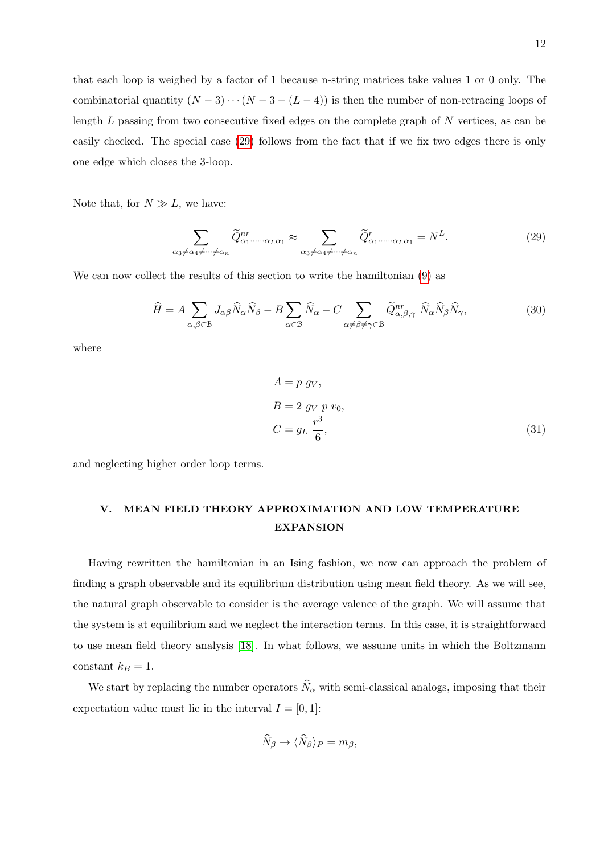that each loop is weighed by a factor of 1 because n-string matrices take values 1 or 0 only. The combinatorial quantity  $(N-3)\cdots(N-3-(L-4))$  is then the number of non-retracing loops of length  $L$  passing from two consecutive fixed edges on the complete graph of  $N$  vertices, as can be easily checked. The special case [\(29\)](#page-10-2) follows from the fact that if we fix two edges there is only one edge which closes the 3-loop.

Note that, for  $N \gg L$ , we have:

$$
\sum_{\alpha_3 \neq \alpha_4 \neq \dots \neq \alpha_n} \tilde{Q}^{nr}_{\alpha_1 \dots \dots \alpha_L \alpha_1} \approx \sum_{\alpha_3 \neq \alpha_4 \neq \dots \neq \alpha_n} \tilde{Q}^r_{\alpha_1 \dots \dots \alpha_L \alpha_1} = N^L.
$$
 (29)

We can now collect the results of this section to write the hamiltonian [\(9\)](#page-6-0) as

$$
\widehat{H} = A \sum_{\alpha,\beta \in \mathcal{B}} J_{\alpha\beta} \widehat{N}_{\alpha} \widehat{N}_{\beta} - B \sum_{\alpha \in \mathcal{B}} \widehat{N}_{\alpha} - C \sum_{\alpha \neq \beta \neq \gamma \in \mathcal{B}} \widetilde{Q}^{nr}_{\alpha,\beta,\gamma} \widehat{N}_{\alpha} \widehat{N}_{\beta} \widehat{N}_{\gamma},
$$
(30)

where

<span id="page-11-0"></span>
$$
A = p \, g_V,
$$
  
\n
$$
B = 2 \, g_V \, p \, v_0,
$$
  
\n
$$
C = g_L \, \frac{r^3}{6},
$$
\n(31)

and neglecting higher order loop terms.

# V. MEAN FIELD THEORY APPROXIMATION AND LOW TEMPERATURE EXPANSION

Having rewritten the hamiltonian in an Ising fashion, we now can approach the problem of finding a graph observable and its equilibrium distribution using mean field theory. As we will see, the natural graph observable to consider is the average valence of the graph. We will assume that the system is at equilibrium and we neglect the interaction terms. In this case, it is straightforward to use mean field theory analysis [\[18\]](#page-20-2). In what follows, we assume units in which the Boltzmann constant  $k_B = 1$ .

We start by replacing the number operators  $\hat{N}_{\alpha}$  with semi-classical analogs, imposing that their expectation value must lie in the interval  $I = [0, 1]$ :

$$
\widehat{N}_{\beta} \to \langle \widehat{N}_{\beta} \rangle_P = m_{\beta},
$$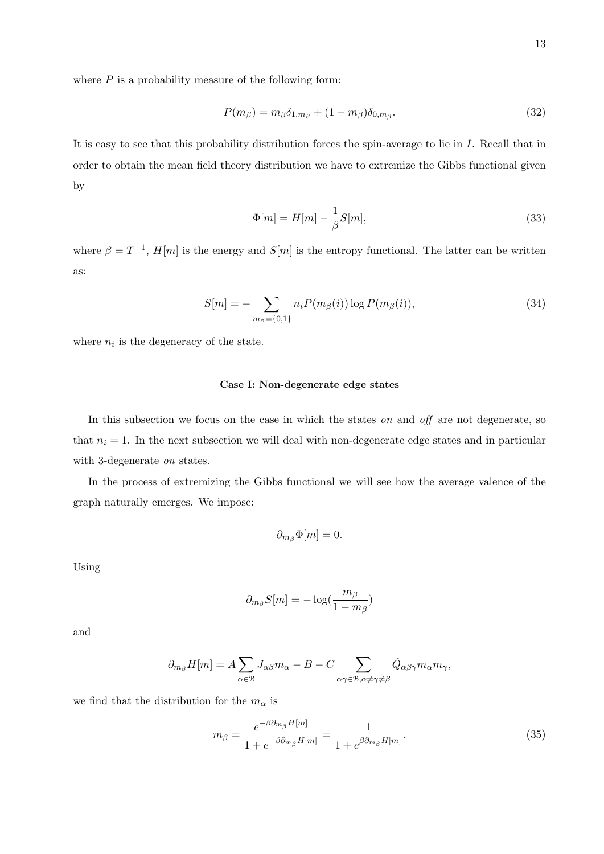where  $P$  is a probability measure of the following form:

$$
P(m_{\beta}) = m_{\beta} \delta_{1,m_{\beta}} + (1 - m_{\beta}) \delta_{0,m_{\beta}}.
$$
\n
$$
(32)
$$

It is easy to see that this probability distribution forces the spin-average to lie in I. Recall that in order to obtain the mean field theory distribution we have to extremize the Gibbs functional given by

$$
\Phi[m] = H[m] - \frac{1}{\beta}S[m],\tag{33}
$$

where  $\beta = T^{-1}$ ,  $H[m]$  is the energy and  $S[m]$  is the entropy functional. The latter can be written as:

<span id="page-12-1"></span>
$$
S[m] = -\sum_{m_{\beta}=\{0,1\}} n_i P(m_{\beta}(i)) \log P(m_{\beta}(i)),\tag{34}
$$

where  $n_i$  is the degeneracy of the state.

## Case I: Non-degenerate edge states

In this subsection we focus on the case in which the states on and off are not degenerate, so that  $n_i = 1$ . In the next subsection we will deal with non-degenerate edge states and in particular with 3-degenerate on states.

In the process of extremizing the Gibbs functional we will see how the average valence of the graph naturally emerges. We impose:

$$
\partial_{m_\beta}\Phi[m]=0.
$$

Using

$$
\partial_{m_{\beta}} S[m] = -\log(\frac{m_{\beta}}{1 - m_{\beta}})
$$

and

$$
\partial_{m_\beta} H[m] = A \sum_{\alpha \in \mathcal{B}} J_{\alpha \beta} m_\alpha - B - C \sum_{\alpha \gamma \in \mathcal{B}, \alpha \neq \gamma \neq \beta} \tilde{Q}_{\alpha \beta \gamma} m_\alpha m_\gamma,
$$

we find that the distribution for the  $m_\alpha$  is

<span id="page-12-0"></span>
$$
m_{\beta} = \frac{e^{-\beta \partial_{m_{\beta}} H[m]}}{1 + e^{-\beta \partial_{m_{\beta}} H[m]}} = \frac{1}{1 + e^{\beta \partial_{m_{\beta}} H[m]}}.
$$
\n(35)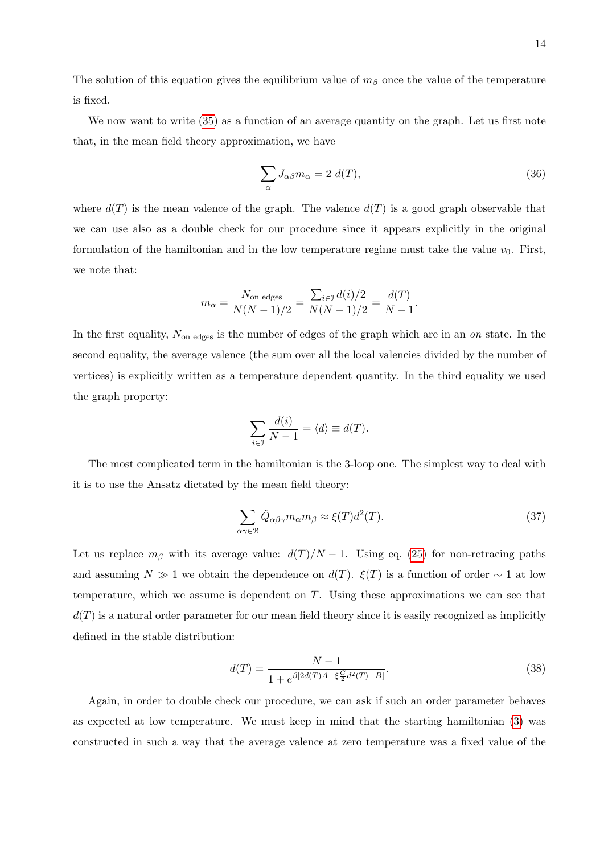The solution of this equation gives the equilibrium value of  $m<sub>\beta</sub>$  once the value of the temperature is fixed.

We now want to write [\(35\)](#page-12-0) as a function of an average quantity on the graph. Let us first note that, in the mean field theory approximation, we have

$$
\sum_{\alpha} J_{\alpha\beta} m_{\alpha} = 2 d(T), \qquad (36)
$$

where  $d(T)$  is the mean valence of the graph. The valence  $d(T)$  is a good graph observable that we can use also as a double check for our procedure since it appears explicitly in the original formulation of the hamiltonian and in the low temperature regime must take the value  $v_0$ . First, we note that:

$$
m_{\alpha} = \frac{N_{\text{on edges}}}{N(N-1)/2} = \frac{\sum_{i \in \mathcal{I}} d(i)/2}{N(N-1)/2} = \frac{d(T)}{N-1}.
$$

In the first equality,  $N_{\text{on edges}}$  is the number of edges of the graph which are in an on state. In the second equality, the average valence (the sum over all the local valencies divided by the number of vertices) is explicitly written as a temperature dependent quantity. In the third equality we used the graph property:

$$
\sum_{i\in\mathcal{I}}\frac{d(i)}{N-1}=\langle d\rangle\equiv d(T).
$$

The most complicated term in the hamiltonian is the 3-loop one. The simplest way to deal with it is to use the Ansatz dictated by the mean field theory:

$$
\sum_{\alpha\gamma\in\mathcal{B}} \tilde{Q}_{\alpha\beta\gamma} m_{\alpha} m_{\beta} \approx \xi(T) d^2(T). \tag{37}
$$

Let us replace  $m_\beta$  with its average value:  $d(T)/N - 1$ . Using eq. [\(25\)](#page-10-0) for non-retracing paths and assuming  $N \gg 1$  we obtain the dependence on  $d(T)$ .  $\xi(T)$  is a function of order ~ 1 at low temperature, which we assume is dependent on T. Using these approximations we can see that  $d(T)$  is a natural order parameter for our mean field theory since it is easily recognized as implicitly defined in the stable distribution:

<span id="page-13-0"></span>
$$
d(T) = \frac{N - 1}{1 + e^{\beta[2d(T)A - \xi \frac{C}{2}d^2(T) - B]}}.\tag{38}
$$

Again, in order to double check our procedure, we can ask if such an order parameter behaves as expected at low temperature. We must keep in mind that the starting hamiltonian [\(3\)](#page-3-1) was constructed in such a way that the average valence at zero temperature was a fixed value of the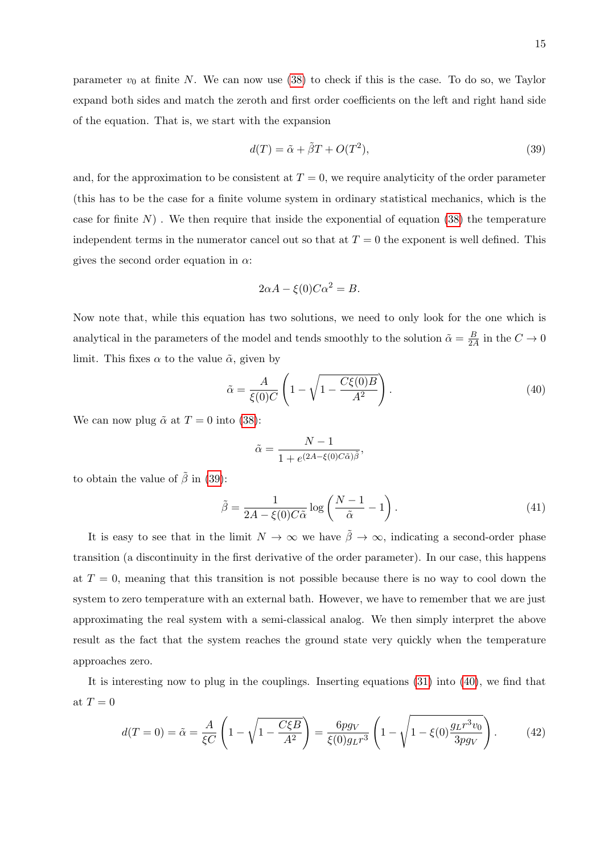<span id="page-14-0"></span>
$$
d(T) = \tilde{\alpha} + \tilde{\beta}T + O(T^2),\tag{39}
$$

and, for the approximation to be consistent at  $T = 0$ , we require analyticity of the order parameter (this has to be the case for a finite volume system in ordinary statistical mechanics, which is the case for finite  $N$ ). We then require that inside the exponential of equation [\(38\)](#page-13-0) the temperature independent terms in the numerator cancel out so that at  $T = 0$  the exponent is well defined. This gives the second order equation in  $\alpha$ :

$$
2\alpha A - \xi(0)C\alpha^2 = B.
$$

Now note that, while this equation has two solutions, we need to only look for the one which is analytical in the parameters of the model and tends smoothly to the solution  $\tilde{\alpha} = \frac{B}{2\ell}$  $\frac{B}{2A}$  in the  $C \to 0$ limit. This fixes  $\alpha$  to the value  $\tilde{\alpha}$ , given by

<span id="page-14-1"></span>
$$
\tilde{\alpha} = \frac{A}{\xi(0)C} \left( 1 - \sqrt{1 - \frac{C\xi(0)B}{A^2}} \right). \tag{40}
$$

We can now plug  $\tilde{\alpha}$  at  $T = 0$  into [\(38\)](#page-13-0):

of the equation. That is, we start with the expansion

$$
\tilde{\alpha} = \frac{N-1}{1 + e^{(2A - \xi(0)C\tilde{\alpha})\tilde{\beta}}},
$$

to obtain the value of  $\tilde{\beta}$  in [\(39\)](#page-14-0):

$$
\tilde{\beta} = \frac{1}{2A - \xi(0)C\tilde{\alpha}} \log \left( \frac{N-1}{\tilde{\alpha}} - 1 \right). \tag{41}
$$

It is easy to see that in the limit  $N \to \infty$  we have  $\tilde{\beta} \to \infty$ , indicating a second-order phase transition (a discontinuity in the first derivative of the order parameter). In our case, this happens at  $T = 0$ , meaning that this transition is not possible because there is no way to cool down the system to zero temperature with an external bath. However, we have to remember that we are just approximating the real system with a semi-classical analog. We then simply interpret the above result as the fact that the system reaches the ground state very quickly when the temperature approaches zero.

It is interesting now to plug in the couplings. Inserting equations [\(31\)](#page-11-0) into [\(40\)](#page-14-1), we find that at  $T=0$ 

$$
d(T=0) = \tilde{\alpha} = \frac{A}{\xi C} \left( 1 - \sqrt{1 - \frac{C \xi B}{A^2}} \right) = \frac{6pg_V}{\xi(0)g_L r^3} \left( 1 - \sqrt{1 - \xi(0) \frac{g_L r^3 v_0}{3pg_V}} \right). \tag{42}
$$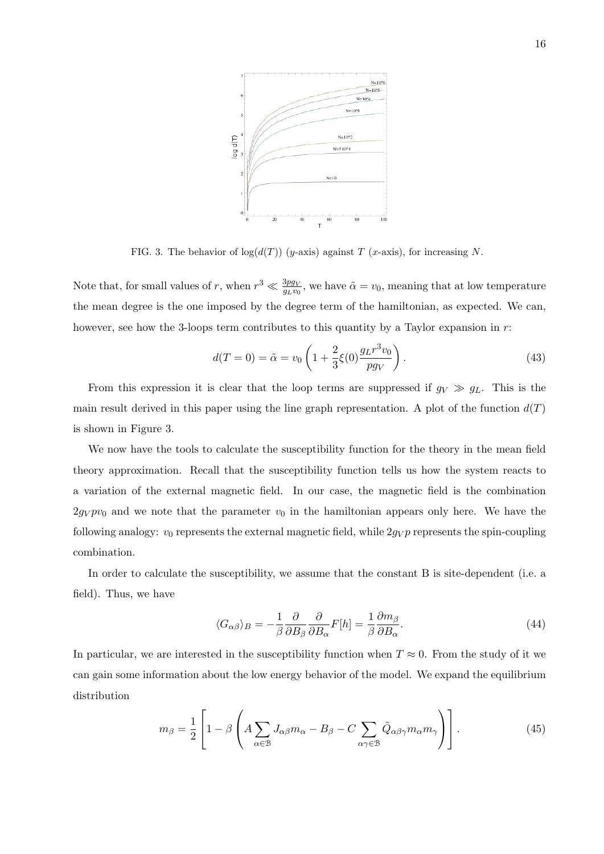

FIG. 3. The behavior of  $log(d(T))$  (y-axis) against T (x-axis), for increasing N.

Note that, for small values of r, when  $r^3 \ll \frac{3pg_V}{g_Lv_0}$ , we have  $\tilde{\alpha} = v_0$ , meaning that at low temperature the mean degree is the one imposed by the degree term of the hamiltonian, as expected. We can, however, see how the 3-loops term contributes to this quantity by a Taylor expansion in r:

$$
d(T = 0) = \tilde{\alpha} = v_0 \left( 1 + \frac{2}{3} \xi(0) \frac{g_L r^3 v_0}{p g_V} \right). \tag{43}
$$

From this expression it is clear that the loop terms are suppressed if  $g_V \gg g_L$ . This is the main result derived in this paper using the line graph representation. A plot of the function  $d(T)$ is shown in Figure 3.

We now have the tools to calculate the susceptibility function for the theory in the mean field theory approximation. Recall that the susceptibility function tells us how the system reacts to a variation of the external magnetic field. In our case, the magnetic field is the combination  $2g_Vpv_0$  and we note that the parameter  $v_0$  in the hamiltonian appears only here. We have the following analogy:  $v_0$  represents the external magnetic field, while  $2g_V p$  represents the spin-coupling combination.

In order to calculate the susceptibility, we assume that the constant B is site-dependent (i.e. a field). Thus, we have

$$
\langle G_{\alpha\beta} \rangle_B = -\frac{1}{\beta} \frac{\partial}{\partial B_{\beta}} \frac{\partial}{\partial B_{\alpha}} F[h] = \frac{1}{\beta} \frac{\partial m_{\beta}}{\partial B_{\alpha}}.
$$
\n(44)

In particular, we are interested in the susceptibility function when  $T \approx 0$ . From the study of it we can gain some information about the low energy behavior of the model. We expand the equilibrium distribution

$$
m_{\beta} = \frac{1}{2} \left[ 1 - \beta \left( A \sum_{\alpha \in \mathcal{B}} J_{\alpha\beta} m_{\alpha} - B_{\beta} - C \sum_{\alpha \gamma \in \mathcal{B}} \tilde{Q}_{\alpha\beta\gamma} m_{\alpha} m_{\gamma} \right) \right]. \tag{45}
$$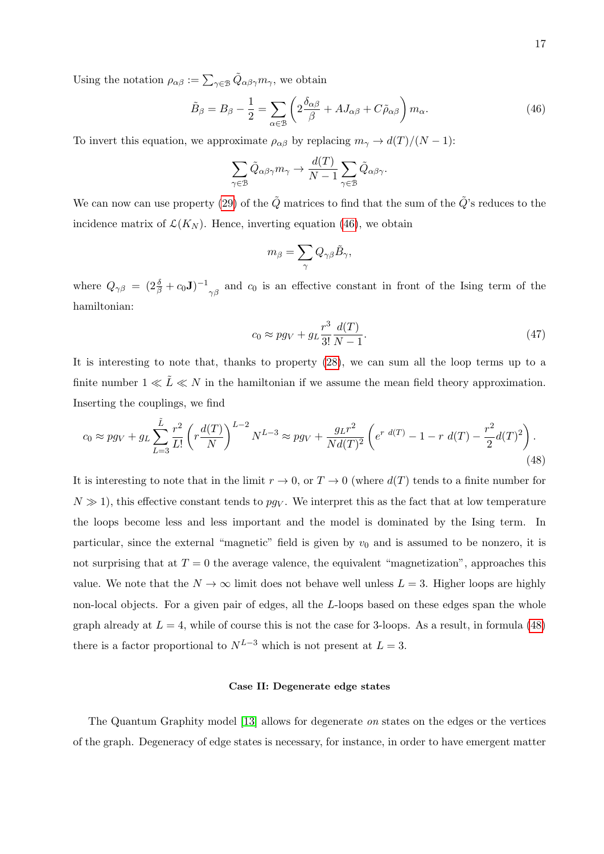Using the notation  $\rho_{\alpha\beta} := \sum_{\gamma \in \mathcal{B}} \tilde{Q}_{\alpha\beta\gamma} m_{\gamma}$ , we obtain

<span id="page-16-0"></span>
$$
\tilde{B}_{\beta} = B_{\beta} - \frac{1}{2} = \sum_{\alpha \in \mathcal{B}} \left( 2 \frac{\delta_{\alpha\beta}}{\beta} + AJ_{\alpha\beta} + C \tilde{\rho}_{\alpha\beta} \right) m_{\alpha}.
$$
\n(46)

To invert this equation, we approximate  $\rho_{\alpha\beta}$  by replacing  $m_{\gamma} \rightarrow d(T)/(N-1)$ :

$$
\sum_{\gamma \in \mathcal{B}} \tilde{Q}_{\alpha\beta\gamma} m_{\gamma} \to \frac{d(T)}{N-1} \sum_{\gamma \in \mathcal{B}} \tilde{Q}_{\alpha\beta\gamma}.
$$

We can now can use property [\(29\)](#page-10-2) of the  $\tilde{Q}$  matrices to find that the sum of the  $\tilde{Q}$ 's reduces to the incidence matrix of  $\mathcal{L}(K_N)$ . Hence, inverting equation [\(46\)](#page-16-0), we obtain

$$
m_\beta = \sum_\gamma Q_{\gamma\beta} \tilde{B}_\gamma,
$$

where  $Q_{\gamma\beta} = (2\frac{\delta}{\beta} + c_0 \mathbf{J})^{-1}$  $\gamma_{\beta}$  and  $c_0$  is an effective constant in front of the Ising term of the hamiltonian:

$$
c_0 \approx pg_V + g_L \frac{r^3}{3!} \frac{d(T)}{N-1}.
$$
\n
$$
(47)
$$

It is interesting to note that, thanks to property [\(28\)](#page-10-3), we can sum all the loop terms up to a finite number  $1 \ll \tilde{L} \ll N$  in the hamiltonian if we assume the mean field theory approximation. Inserting the couplings, we find

<span id="page-16-1"></span>
$$
c_0 \approx pg_V + g_L \sum_{L=3}^{\tilde{L}} \frac{r^2}{L!} \left( r \frac{d(T)}{N} \right)^{L-2} N^{L-3} \approx pg_V + \frac{g_L r^2}{Nd(T)^2} \left( e^{r \ d(T)} - 1 - r \ d(T) - \frac{r^2}{2} d(T)^2 \right). \tag{48}
$$

It is interesting to note that in the limit  $r \to 0$ , or  $T \to 0$  (where  $d(T)$  tends to a finite number for  $N \gg 1$ , this effective constant tends to  $pg_V$ . We interpret this as the fact that at low temperature the loops become less and less important and the model is dominated by the Ising term. In particular, since the external "magnetic" field is given by  $v_0$  and is assumed to be nonzero, it is not surprising that at  $T = 0$  the average valence, the equivalent "magnetization", approaches this value. We note that the  $N \to \infty$  limit does not behave well unless  $L = 3$ . Higher loops are highly non-local objects. For a given pair of edges, all the L-loops based on these edges span the whole graph already at  $L = 4$ , while of course this is not the case for 3-loops. As a result, in formula [\(48\)](#page-16-1) there is a factor proportional to  $N^{L-3}$  which is not present at  $L = 3$ .

### Case II: Degenerate edge states

The Quantum Graphity model [\[13\]](#page-19-6) allows for degenerate on states on the edges or the vertices of the graph. Degeneracy of edge states is necessary, for instance, in order to have emergent matter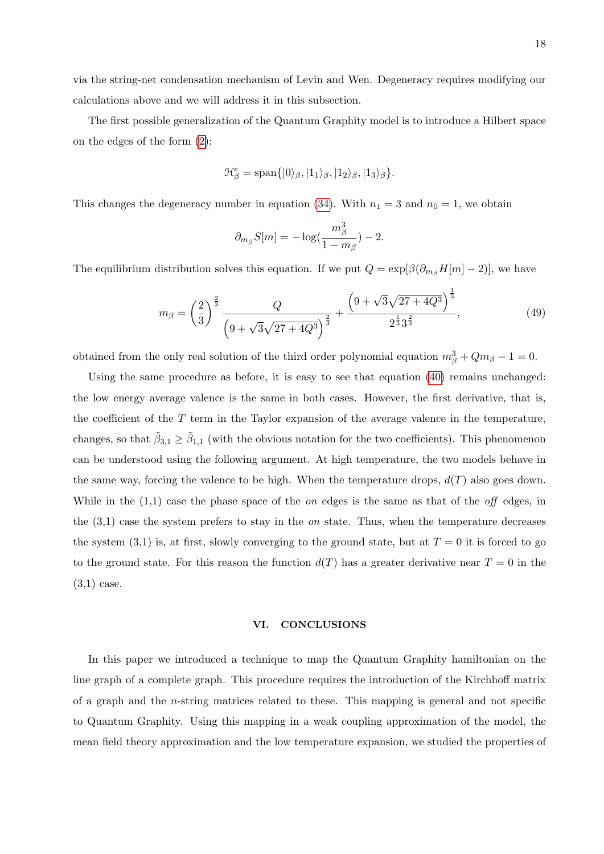via the string-net condensation mechanism of Levin and Wen. Degeneracy requires modifying our calculations above and we will address it in this subsection.

The first possible generalization of the Quantum Graphity model is to introduce a Hilbert space on the edges of the form [\(2\)](#page-3-2):

$$
\mathcal{H}^e_{\beta} = \text{span}\{|0\rangle_{\beta}, |1_1\rangle_{\beta}, |1_2\rangle_{\beta}, |1_3\rangle_{\beta}\}.
$$

This changes the degeneracy number in equation [\(34\)](#page-12-1). With  $n_1 = 3$  and  $n_0 = 1$ , we obtain

$$
\partial_{m_\beta} S[m] = -\log(\frac{m_\beta^3}{1-m_\beta}) - 2.
$$

The equilibrium distribution solves this equation. If we put  $Q = \exp[\beta(\partial_{m_\beta}H[m]-2)]$ , we have

$$
m_{\beta} = \left(\frac{2}{3}\right)^{\frac{2}{3}} \frac{Q}{\left(9 + \sqrt{3}\sqrt{27 + 4Q^3}\right)^{\frac{2}{3}}} + \frac{\left(9 + \sqrt{3}\sqrt{27 + 4Q^3}\right)^{\frac{1}{3}}}{2^{\frac{1}{3}} 3^{\frac{2}{3}}},\tag{49}
$$

obtained from the only real solution of the third order polynomial equation  $m_{\beta}^3 + Qm_{\beta} - 1 = 0$ .

Using the same procedure as before, it is easy to see that equation [\(40\)](#page-14-1) remains unchanged: the low energy average valence is the same in both cases. However, the first derivative, that is, the coefficient of the  $T$  term in the Taylor expansion of the average valence in the temperature, changes, so that  $\tilde{\beta}_{3,1} \geq \tilde{\beta}_{1,1}$  (with the obvious notation for the two coefficients). This phenomenon can be understood using the following argument. At high temperature, the two models behave in the same way, forcing the valence to be high. When the temperature drops,  $d(T)$  also goes down. While in the  $(1,1)$  case the phase space of the *on* edges is the same as that of the *off* edges, in the  $(3,1)$  case the system prefers to stay in the *on* state. Thus, when the temperature decreases the system  $(3,1)$  is, at first, slowly converging to the ground state, but at  $T=0$  it is forced to go to the ground state. For this reason the function  $d(T)$  has a greater derivative near  $T = 0$  in the (3,1) case.

### VI. CONCLUSIONS

In this paper we introduced a technique to map the Quantum Graphity hamiltonian on the line graph of a complete graph. This procedure requires the introduction of the Kirchhoff matrix of a graph and the n-string matrices related to these. This mapping is general and not specific to Quantum Graphity. Using this mapping in a weak coupling approximation of the model, the mean field theory approximation and the low temperature expansion, we studied the properties of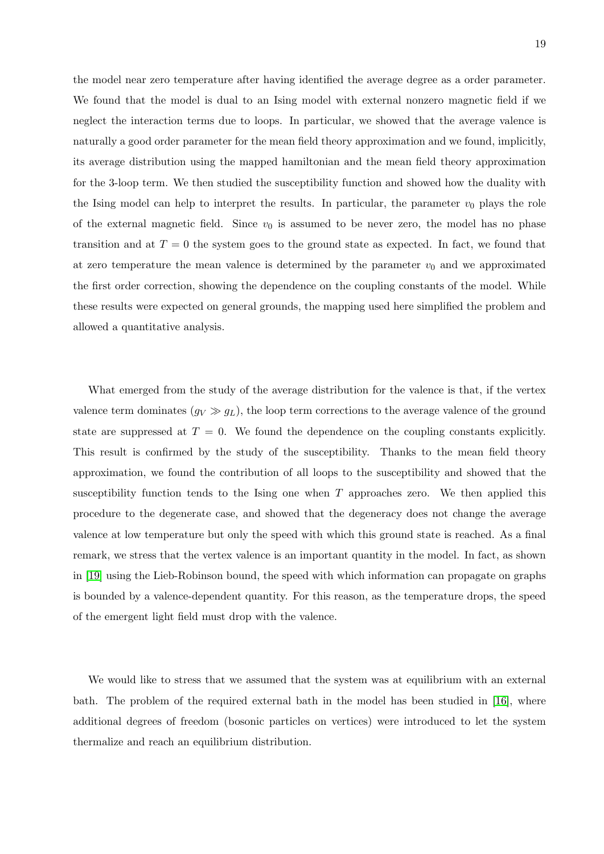the model near zero temperature after having identified the average degree as a order parameter. We found that the model is dual to an Ising model with external nonzero magnetic field if we neglect the interaction terms due to loops. In particular, we showed that the average valence is naturally a good order parameter for the mean field theory approximation and we found, implicitly, its average distribution using the mapped hamiltonian and the mean field theory approximation for the 3-loop term. We then studied the susceptibility function and showed how the duality with the Ising model can help to interpret the results. In particular, the parameter  $v_0$  plays the role of the external magnetic field. Since  $v_0$  is assumed to be never zero, the model has no phase transition and at  $T = 0$  the system goes to the ground state as expected. In fact, we found that at zero temperature the mean valence is determined by the parameter  $v_0$  and we approximated the first order correction, showing the dependence on the coupling constants of the model. While these results were expected on general grounds, the mapping used here simplified the problem and allowed a quantitative analysis.

What emerged from the study of the average distribution for the valence is that, if the vertex valence term dominates  $(g_V \gg g_L)$ , the loop term corrections to the average valence of the ground state are suppressed at  $T = 0$ . We found the dependence on the coupling constants explicitly. This result is confirmed by the study of the susceptibility. Thanks to the mean field theory approximation, we found the contribution of all loops to the susceptibility and showed that the susceptibility function tends to the Ising one when  $T$  approaches zero. We then applied this procedure to the degenerate case, and showed that the degeneracy does not change the average valence at low temperature but only the speed with which this ground state is reached. As a final remark, we stress that the vertex valence is an important quantity in the model. In fact, as shown in [\[19\]](#page-20-3) using the Lieb-Robinson bound, the speed with which information can propagate on graphs is bounded by a valence-dependent quantity. For this reason, as the temperature drops, the speed of the emergent light field must drop with the valence.

We would like to stress that we assumed that the system was at equilibrium with an external bath. The problem of the required external bath in the model has been studied in [\[16\]](#page-20-0), where additional degrees of freedom (bosonic particles on vertices) were introduced to let the system thermalize and reach an equilibrium distribution.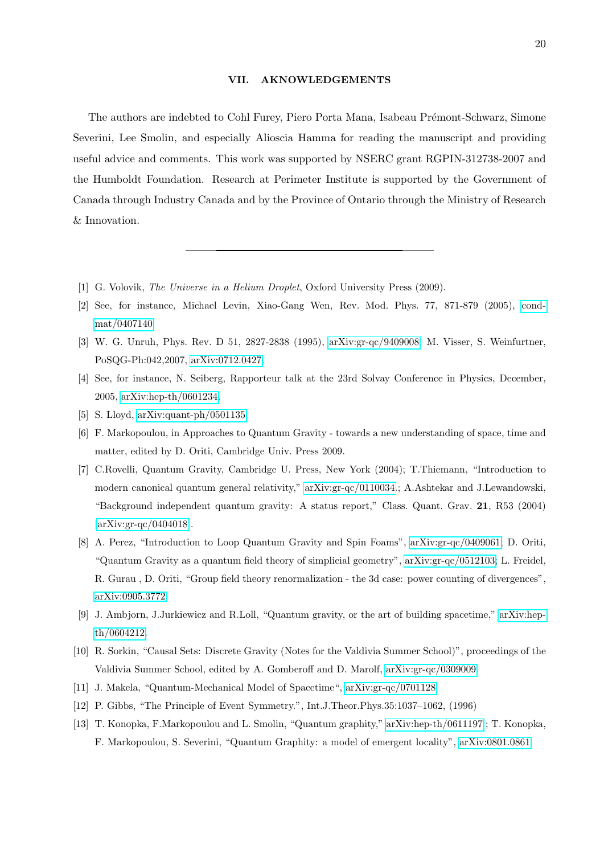### VII. AKNOWLEDGEMENTS

The authors are indebted to Cohl Furey, Piero Porta Mana, Isabeau Prémont-Schwarz, Simone Severini, Lee Smolin, and especially Alioscia Hamma for reading the manuscript and providing useful advice and comments. This work was supported by NSERC grant RGPIN-312738-2007 and the Humboldt Foundation. Research at Perimeter Institute is supported by the Government of Canada through Industry Canada and by the Province of Ontario through the Ministry of Research & Innovation.

- <span id="page-19-1"></span><span id="page-19-0"></span>[1] G. Volovik, The Universe in a Helium Droplet, Oxford University Press (2009).
- [2] See, for instance, Michael Levin, Xiao-Gang Wen, Rev. Mod. Phys. 77, 871-879 (2005), [cond](http://arxiv.org/abs/cond-mat/0407140)[mat/0407140](http://arxiv.org/abs/cond-mat/0407140)
- <span id="page-19-2"></span>[3] W. G. Unruh, Phys. Rev. D 51, 2827-2838 (1995), [arXiv:gr-qc/9409008;](http://arxiv.org/abs/gr-qc/9409008) M. Visser, S. Weinfurtner, PoSQG-Ph:042,2007, [arXiv:0712.0427.](http://arxiv.org/abs/0712.0427)
- <span id="page-19-3"></span>[4] See, for instance, N. Seiberg, Rapporteur talk at the 23rd Solvay Conference in Physics, December, 2005, [arXiv:hep-th/0601234.](http://arxiv.org/abs/hep-th/0601234)
- <span id="page-19-5"></span><span id="page-19-4"></span>[5] S. Lloyd, [arXiv:quant-ph/0501135.](http://arxiv.org/abs/quant-ph/0501135)
- [6] F. Markopoulou, in Approaches to Quantum Gravity towards a new understanding of space, time and matter, edited by D. Oriti, Cambridge Univ. Press 2009.
- [7] C.Rovelli, Quantum Gravity, Cambridge U. Press, New York (2004); T.Thiemann, "Introduction to modern canonical quantum general relativity," [arXiv:gr-qc/0110034.](http://arxiv.org/abs/gr-qc/0110034); A.Ashtekar and J.Lewandowski, "Background independent quantum gravity: A status report," Class. Quant. Grav. 21, R53 (2004) [\[arXiv:gr-qc/0404018\]](http://arxiv.org/abs/gr-qc/0404018).
- [8] A. Perez, "Introduction to Loop Quantum Gravity and Spin Foams", [arXiv:gr-qc/0409061;](http://arxiv.org/abs/gr-qc/0409061) D. Oriti, "Quantum Gravity as a quantum field theory of simplicial geometry", [arXiv:gr-qc/0512103;](http://arxiv.org/abs/gr-qc/0512103) L. Freidel, R. Gurau , D. Oriti, "Group field theory renormalization - the 3d case: power counting of divergences", [arXiv:0905.3772](http://arxiv.org/abs/0905.3772)
- [9] J. Ambjorn, J.Jurkiewicz and R.Loll, "Quantum gravity, or the art of building spacetime," [arXiv:hep](http://arxiv.org/abs/hep-th/0604212)[th/0604212.](http://arxiv.org/abs/hep-th/0604212)
- [10] R. Sorkin, "Causal Sets: Discrete Gravity (Notes for the Valdivia Summer School)", proceedings of the Valdivia Summer School, edited by A. Gomberoff and D. Marolf, [arXiv:gr-qc/0309009.](http://arxiv.org/abs/gr-qc/0309009)
- <span id="page-19-7"></span>[11] J. Makela, "Quantum-Mechanical Model of Spacetime", [arXiv:gr-qc/0701128](http://arxiv.org/abs/gr-qc/0701128)
- <span id="page-19-6"></span>[12] P. Gibbs, "The Principle of Event Symmetry.", Int.J.Theor.Phys.35:1037–1062, (1996)
- [13] T. Konopka, F.Markopoulou and L. Smolin, "Quantum graphity," [arXiv:hep-th/0611197](http://arxiv.org/abs/hep-th/0611197) ; T. Konopka, F. Markopoulou, S. Severini, "Quantum Graphity: a model of emergent locality", [arXiv:0801.0861](http://arxiv.org/abs/0801.0861)